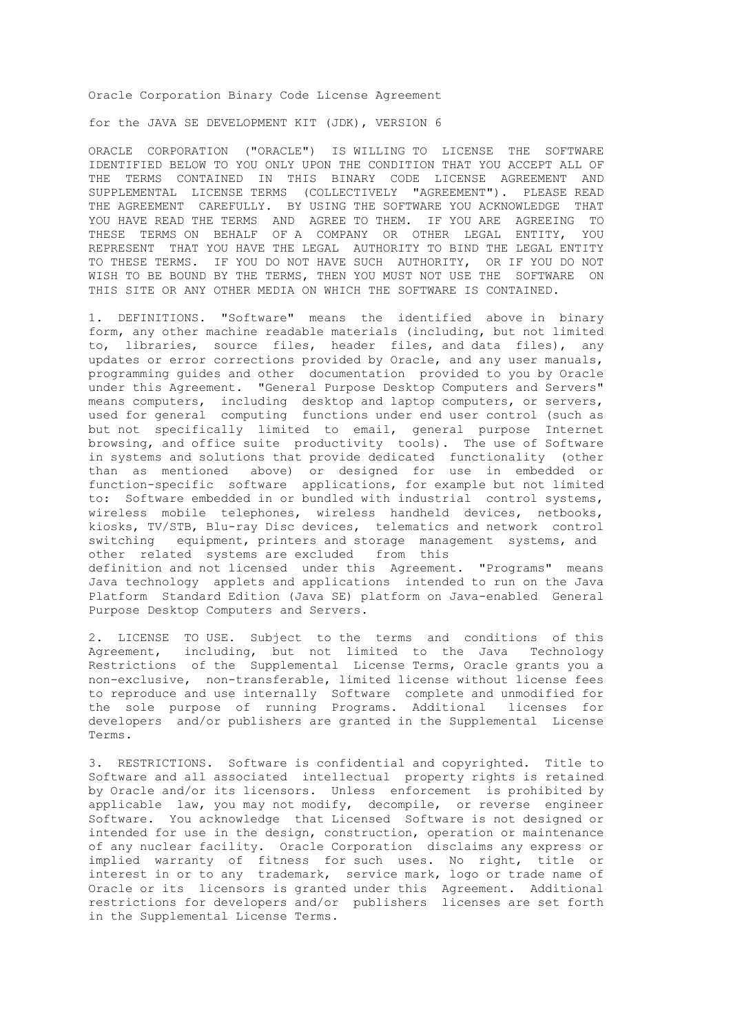Oracle Corporation Binary Code License Agreement

for the JAVA SE DEVELOPMENT KIT (JDK), VERSION 6

ORACLE CORPORATION ("ORACLE") IS WILLING TO LICENSE THE SOFTWARE IDENTIFIED BELOW TO YOU ONLY UPON THE CONDITION THAT YOU ACCEPT ALL OF THE TERMS CONTAINED IN THIS BINARY CODE LICENSE AGREEMENT AND SUPPLEMENTAL LICENSE TERMS (COLLECTIVELY "AGREEMENT"). PLEASE READ THE AGREEMENT CAREFULLY. BY USING THE SOFTWARE YOU ACKNOWLEDGE THAT YOU HAVE READ THE TERMS AND AGREE TO THEM. IF YOU ARE AGREEING TO THESE TERMS ON BEHALF OF A COMPANY OR OTHER LEGAL ENTITY, YOU REPRESENT THAT YOU HAVE THE LEGAL AUTHORITY TO BIND THE LEGAL ENTITY TO THESE TERMS. IF YOU DO NOT HAVE SUCH AUTHORITY, OR IF YOU DO NOT WISH TO BE BOUND BY THE TERMS, THEN YOU MUST NOT USE THE SOFTWARE ON THIS SITE OR ANY OTHER MEDIA ON WHICH THE SOFTWARE IS CONTAINED.

1. DEFINITIONS. "Software" means the identified above in binary form, any other machine readable materials (including, but not limited to, libraries, source files, header files, and data files), any updates or error corrections provided by Oracle, and any user manuals, programming guides and other documentation provided to you by Oracle under this Agreement. "General Purpose Desktop Computers and Servers" means computers, including desktop and laptop computers, or servers, used for general computing functions under end user control (such as but not specifically limited to email, general purpose Internet browsing, and office suite productivity tools). The use of Software in systems and solutions that provide dedicated functionality (other than as mentioned above) or designed for use in embedded or function-specific software applications, for example but not limited to: Software embedded in or bundled with industrial control systems, wireless mobile telephones, wireless handheld devices, netbooks, kiosks, TV/STB, Blu-ray Disc devices, telematics and network control switching equipment, printers and storage management systems, and other related systems are excluded from this definition and not licensed under this Agreement. "Programs" means Java technology applets and applications intended to run on the Java Platform Standard Edition (Java SE) platform on Java-enabled General Purpose Desktop Computers and Servers.

2. LICENSE TO USE. Subject to the terms and conditions of this Agreement, including, but not limited to the Java Technology Restrictions of the Supplemental License Terms, Oracle grants you a non-exclusive, non-transferable, limited license without license fees to reproduce and use internally Software complete and unmodified for the sole purpose of running Programs. Additional licenses for developers and/or publishers are granted in the Supplemental License Terms.

3. RESTRICTIONS. Software is confidential and copyrighted. Title to Software and all associated intellectual property rights is retained by Oracle and/or its licensors. Unless enforcement is prohibited by applicable law, you may not modify, decompile, or reverse engineer Software. You acknowledge that Licensed Software is not designed or intended for use in the design, construction, operation or maintenance of any nuclear facility. Oracle Corporation disclaims any express or implied warranty of fitness for such uses. No right, title or interest in or to any trademark, service mark, logo or trade name of Oracle or its licensors is granted under this Agreement. Additional restrictions for developers and/or publishers licenses are set forth in the Supplemental License Terms.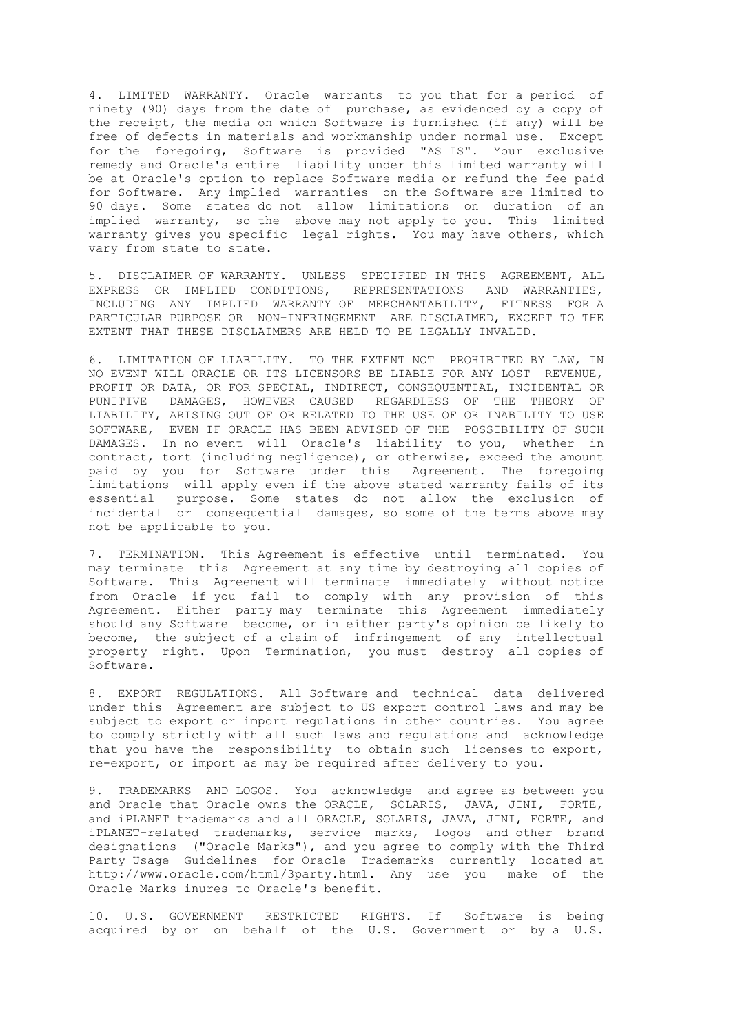4. LIMITED WARRANTY. Oracle warrants to you that for a period of ninety (90) days from the date of purchase, as evidenced by a copy of the receipt, the media on which Software is furnished (if any) will be free of defects in materials and workmanship under normal use. Except for the foregoing, Software is provided "AS IS". Your exclusive remedy and Oracle's entire liability under this limited warranty will be at Oracle's option to replace Software media or refund the fee paid for Software. Any implied warranties on the Software are limited to 90 days. Some states do not allow limitations on duration of an implied warranty, so the above may not apply to you. This limited warranty gives you specific legal rights. You may have others, which vary from state to state.

5. DISCLAIMER OF WARRANTY. UNLESS SPECIFIED IN THIS AGREEMENT, ALL EXPRESS OR IMPLIED CONDITIONS, REPRESENTATIONS AND WARRANTIES, INCLUDING ANY IMPLIED WARRANTY OF MERCHANTABILITY, FITNESS FOR A PARTICULAR PURPOSE OR NON-INFRINGEMENT ARE DISCLAIMED, EXCEPT TO THE EXTENT THAT THESE DISCLAIMERS ARE HELD TO BE LEGALLY INVALID.

6. LIMITATION OF LIABILITY. TO THE EXTENT NOT PROHIBITED BY LAW, IN NO EVENT WILL ORACLE OR ITS LICENSORS BE LIABLE FOR ANY LOST REVENUE, PROFIT OR DATA, OR FOR SPECIAL, INDIRECT, CONSEQUENTIAL, INCIDENTAL OR PUNITIVE DAMAGES, HOWEVER CAUSED REGARDLESS OF THE THEORY OF LIABILITY, ARISING OUT OF OR RELATED TO THE USE OF OR INABILITY TO USE SOFTWARE, EVEN IF ORACLE HAS BEEN ADVISED OF THE POSSIBILITY OF SUCH DAMAGES. In no event will Oracle's liability to you, whether in contract, tort (including negligence), or otherwise, exceed the amount paid by you for Software under this Agreement. The foregoing limitations will apply even if the above stated warranty fails of its essential purpose. Some states do not allow the exclusion of incidental or consequential damages, so some of the terms above may not be applicable to you.

7. TERMINATION. This Agreement is effective until terminated. You may terminate this Agreement at any time by destroying all copies of Software. This Agreement will terminate immediately without notice from Oracle if you fail to comply with any provision of this Agreement. Either party may terminate this Agreement immediately should any Software become, or in either party's opinion be likely to become, the subject of a claim of infringement of any intellectual property right. Upon Termination, you must destroy all copies of Software.

8. EXPORT REGULATIONS. All Software and technical data delivered under this Agreement are subject to US export control laws and may be subject to export or import regulations in other countries. You agree to comply strictly with all such laws and regulations and acknowledge that you have the responsibility to obtain such licenses to export, re-export, or import as may be required after delivery to you.

9. TRADEMARKS AND LOGOS. You acknowledge and agree as between you and Oracle that Oracle owns the ORACLE, SOLARIS, JAVA, JINI, FORTE, and iPLANET trademarks and all ORACLE, SOLARIS, JAVA, JINI, FORTE, and iPLANET-related trademarks, service marks, logos and other brand designations ("Oracle Marks"), and you agree to comply with the Third Party Usage Guidelines for Oracle Trademarks currently located at http://www.oracle.com/html/3party.html. Any use you make of the Oracle Marks inures to Oracle's benefit.

10. U.S. GOVERNMENT RESTRICTED RIGHTS. If Software is being acquired by or on behalf of the U.S. Government or by a U.S.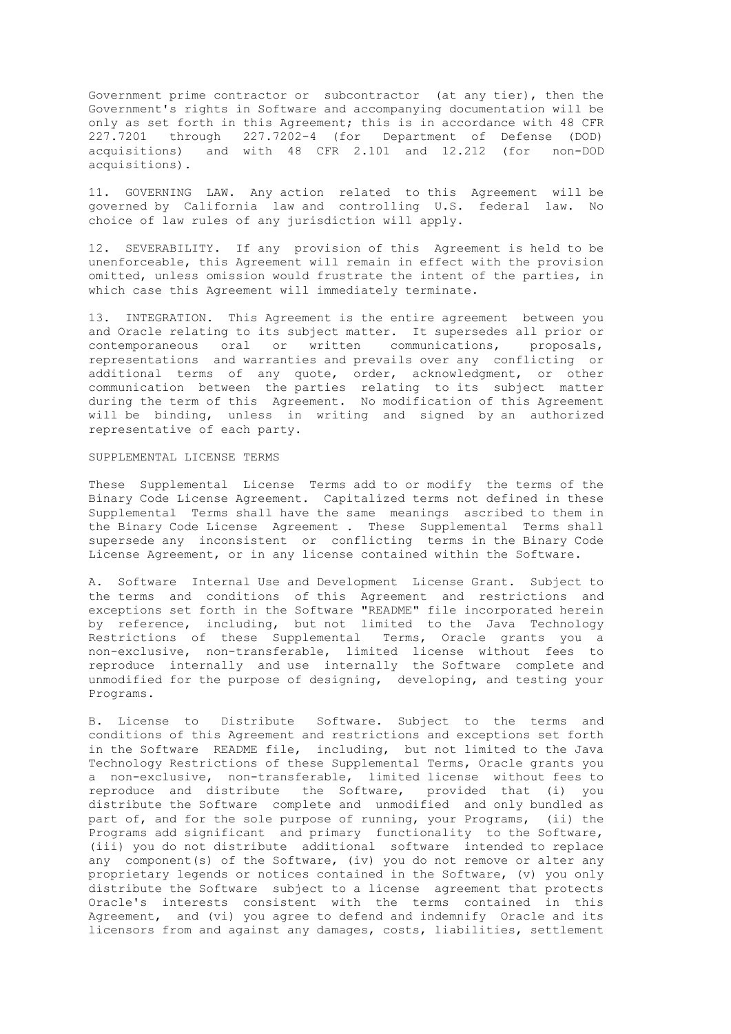Government prime contractor or subcontractor (at any tier), then the Government's rights in Software and accompanying documentation will be only as set forth in this Agreement; this is in accordance with 48 CFR 227.7201 through 227.7202-4 (for Department of Defense (DOD) acquisitions) and with 48 CFR 2.101 and 12.212 (for non-DOD acquisitions).

11. GOVERNING LAW. Any action related to this Agreement will be governed by California law and controlling U.S. federal law. No choice of law rules of any jurisdiction will apply.

12. SEVERABILITY. If any provision of this Agreement is held to be unenforceable, this Agreement will remain in effect with the provision omitted, unless omission would frustrate the intent of the parties, in which case this Agreement will immediately terminate.

13. INTEGRATION. This Agreement is the entire agreement between you and Oracle relating to its subject matter. It supersedes all prior or contemporaneous oral or written communications, proposals, representations and warranties and prevails over any conflicting or additional terms of any quote, order, acknowledgment, or other communication between the parties relating to its subject matter during the term of this Agreement. No modification of this Agreement will be binding, unless in writing and signed by an authorized representative of each party.

## SUPPLEMENTAL LICENSE TERMS

These Supplemental License Terms add to or modify the terms of the Binary Code License Agreement. Capitalized terms not defined in these Supplemental Terms shall have the same meanings ascribed to them in the Binary Code License Agreement . These Supplemental Terms shall supersede any inconsistent or conflicting terms in the Binary Code License Agreement, or in any license contained within the Software.

A. Software Internal Use and Development License Grant. Subject to the terms and conditions of this Agreement and restrictions and exceptions set forth in the Software "README" file incorporated herein by reference, including, but not limited to the Java Technology Restrictions of these Supplemental Terms, Oracle grants you a non-exclusive, non-transferable, limited license without fees to reproduce internally and use internally the Software complete and unmodified for the purpose of designing, developing, and testing your Programs.

B. License to Distribute Software. Subject to the terms and conditions of this Agreement and restrictions and exceptions set forth in the Software README file, including, but not limited to the Java Technology Restrictions of these Supplemental Terms, Oracle grants you a non-exclusive, non-transferable, limited license without fees to reproduce and distribute the Software, provided that (i) you distribute the Software complete and unmodified and only bundled as part of, and for the sole purpose of running, your Programs, (ii) the Programs add significant and primary functionality to the Software, (iii) you do not distribute additional software intended to replace any component(s) of the Software, (iv) you do not remove or alter any proprietary legends or notices contained in the Software, (v) you only distribute the Software subject to a license agreement that protects Oracle's interests consistent with the terms contained in this Agreement, and (vi) you agree to defend and indemnify Oracle and its licensors from and against any damages, costs, liabilities, settlement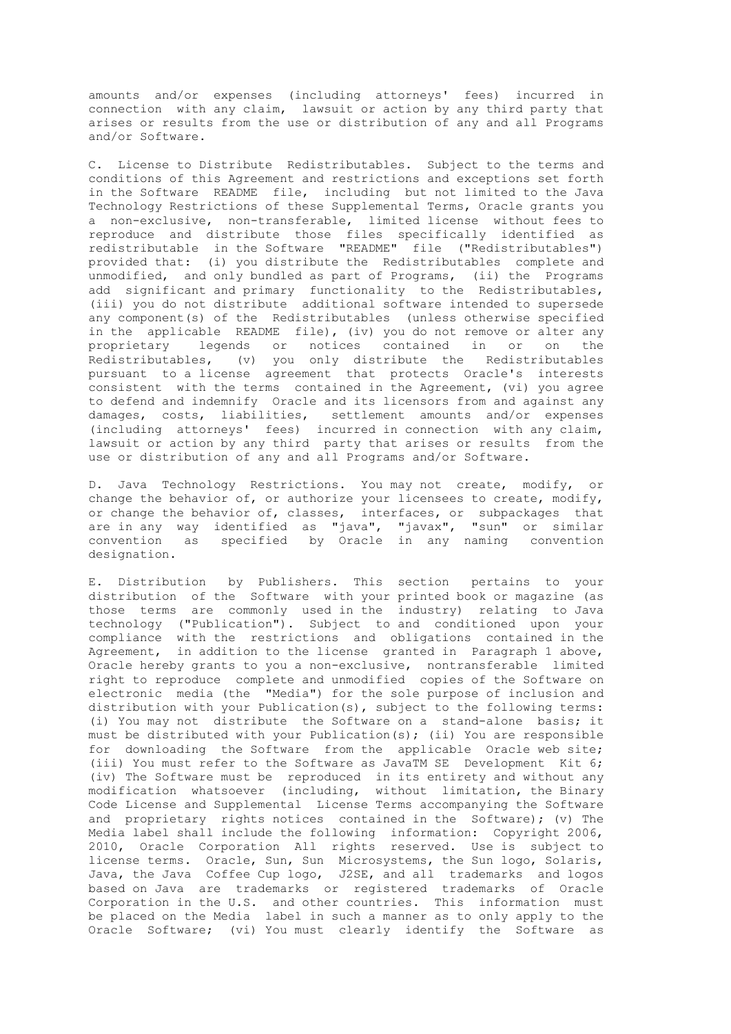amounts and/or expenses (including attorneys' fees) incurred in connection with any claim, lawsuit or action by any third party that arises or results from the use or distribution of any and all Programs and/or Software.

C. License to Distribute Redistributables. Subject to the terms and conditions of this Agreement and restrictions and exceptions set forth in the Software README file, including but not limited to the Java Technology Restrictions of these Supplemental Terms, Oracle grants you a non-exclusive, non-transferable, limited license without fees to reproduce and distribute those files specifically identified as redistributable in the Software "README" file ("Redistributables") provided that: (i) you distribute the Redistributables complete and unmodified, and only bundled as part of Programs, (ii) the Programs add significant and primary functionality to the Redistributables, (iii) you do not distribute additional software intended to supersede any component(s) of the Redistributables (unless otherwise specified in the applicable README file), (iv) you do not remove or alter any proprietary legends or notices contained in or on the Redistributables, (v) you only distribute the Redistributables pursuant to a license agreement that protects Oracle's interests consistent with the terms contained in the Agreement, (vi) you agree to defend and indemnify Oracle and its licensors from and against any damages, costs, liabilities, settlement amounts and/or expenses (including attorneys' fees) incurred in connection with any claim, lawsuit or action by any third party that arises or results from the use or distribution of any and all Programs and/or Software.

D. Java Technology Restrictions. You may not create, modify, or change the behavior of, or authorize your licensees to create, modify, or change the behavior of, classes, interfaces, or subpackages that are in any way identified as "java", "javax", "sun" or similar convention as specified by Oracle in any naming convention designation.

E. Distribution by Publishers. This section pertains to your distribution of the Software with your printed book or magazine (as those terms are commonly used in the industry) relating to Java technology ("Publication"). Subject to and conditioned upon your compliance with the restrictions and obligations contained in the Agreement, in addition to the license granted in Paragraph 1 above, Oracle hereby grants to you a non-exclusive, nontransferable limited right to reproduce complete and unmodified copies of the Software on electronic media (the "Media") for the sole purpose of inclusion and distribution with your Publication(s), subject to the following terms: (i) You may not distribute the Software on a stand-alone basis; it must be distributed with your Publication(s); (ii) You are responsible for downloading the Software from the applicable Oracle web site; (iii) You must refer to the Software as JavaTM SE Development Kit 6; (iv) The Software must be reproduced in its entirety and without any modification whatsoever (including, without limitation, the Binary Code License and Supplemental License Terms accompanying the Software and proprietary rights notices contained in the Software); (v) The Media label shall include the following information: Copyright 2006, 2010, Oracle Corporation All rights reserved. Use is subject to license terms. Oracle, Sun, Sun Microsystems, the Sun logo, Solaris, Java, the Java Coffee Cup logo, J2SE, and all trademarks and logos based on Java are trademarks or registered trademarks of Oracle Corporation in the U.S. and other countries. This information must be placed on the Media label in such a manner as to only apply to the Oracle Software; (vi) You must clearly identify the Software as